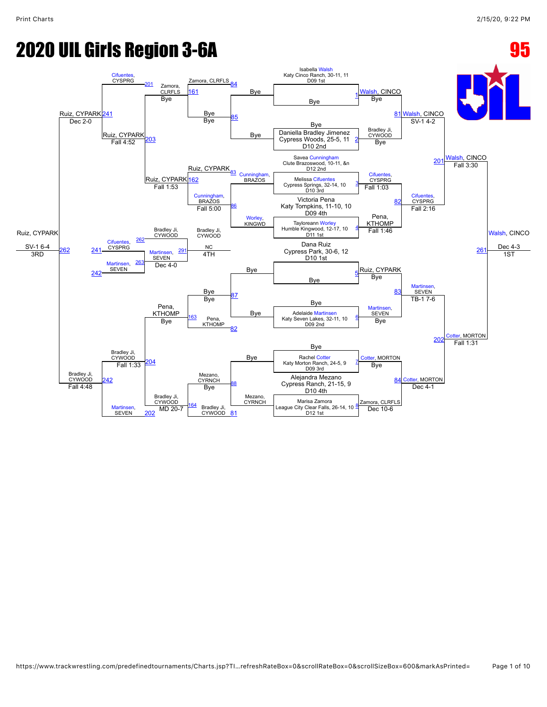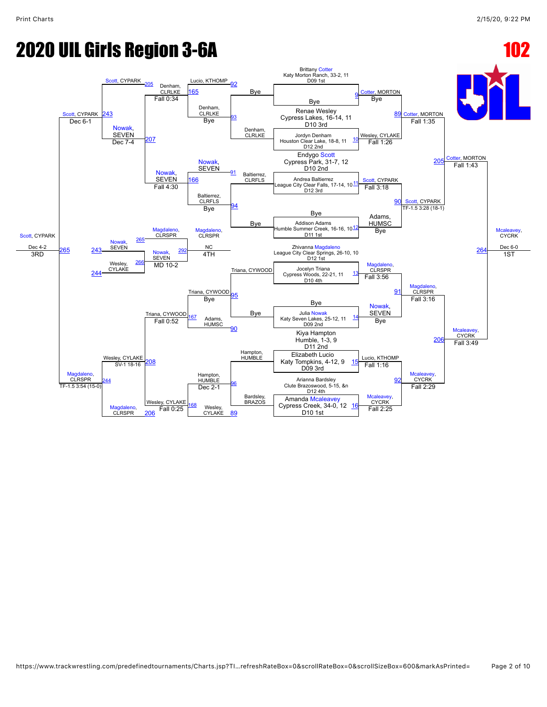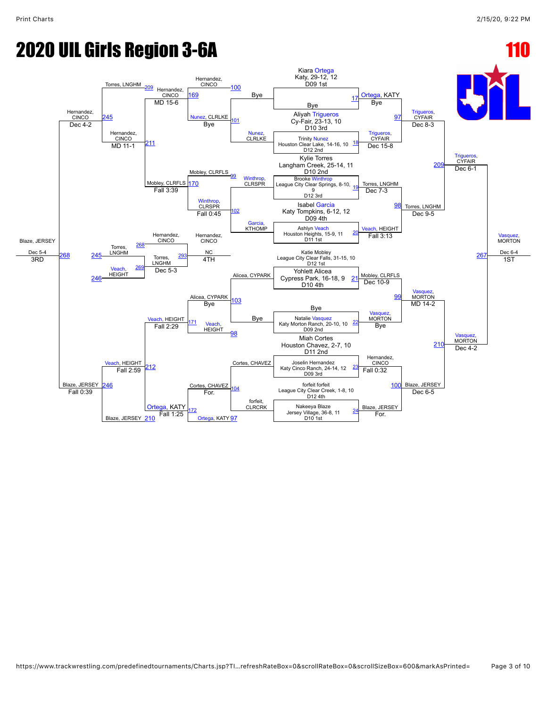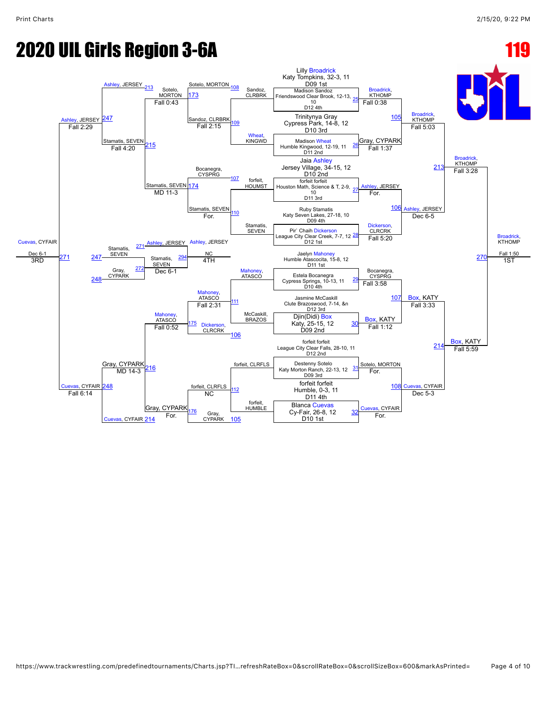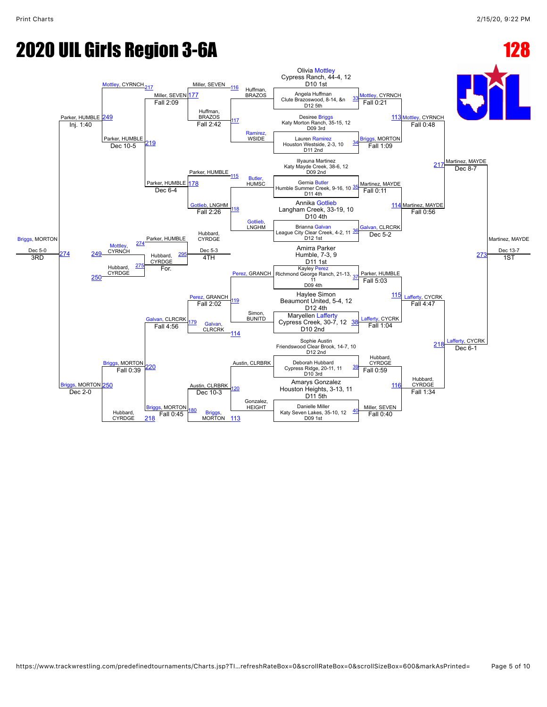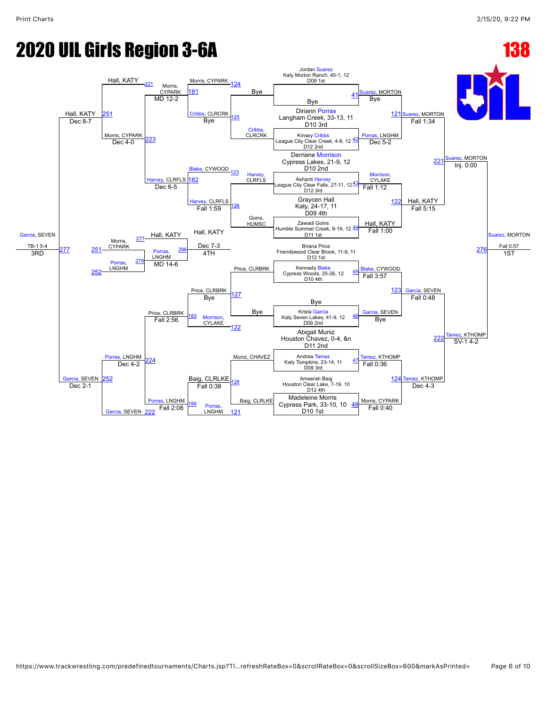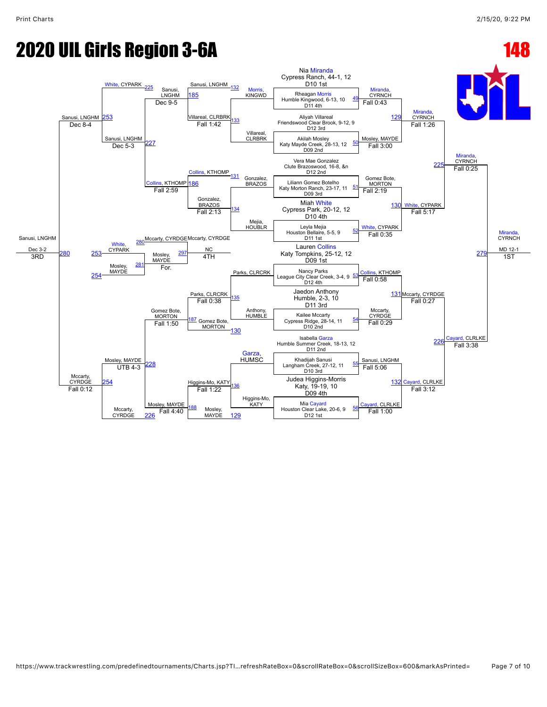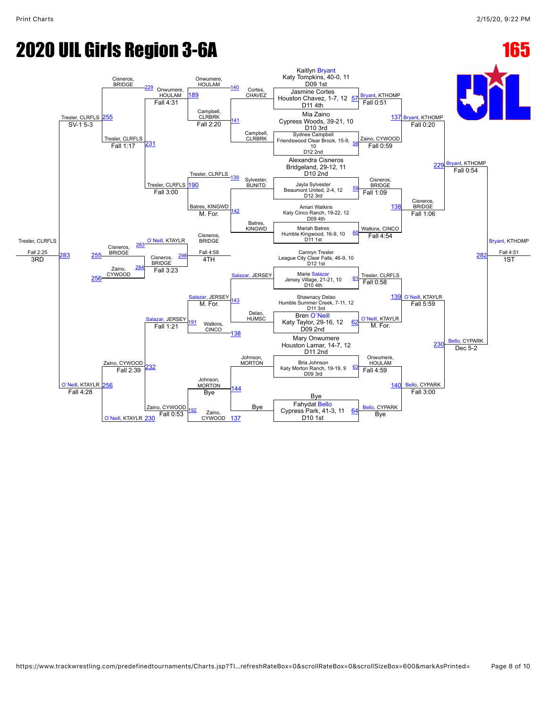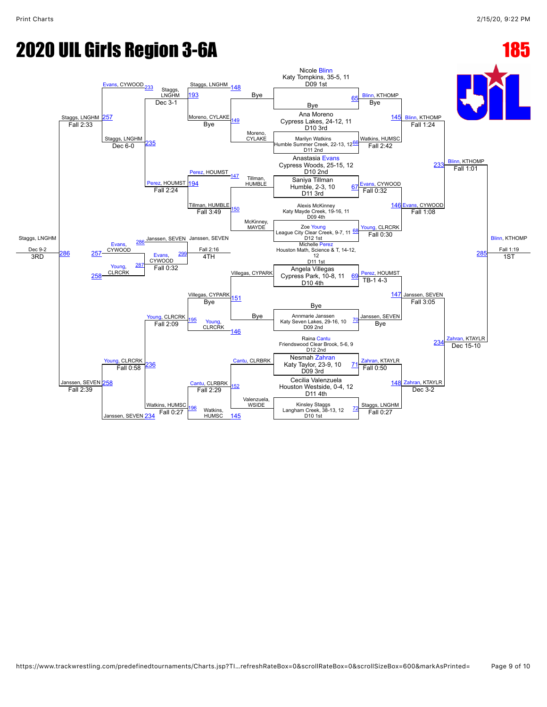